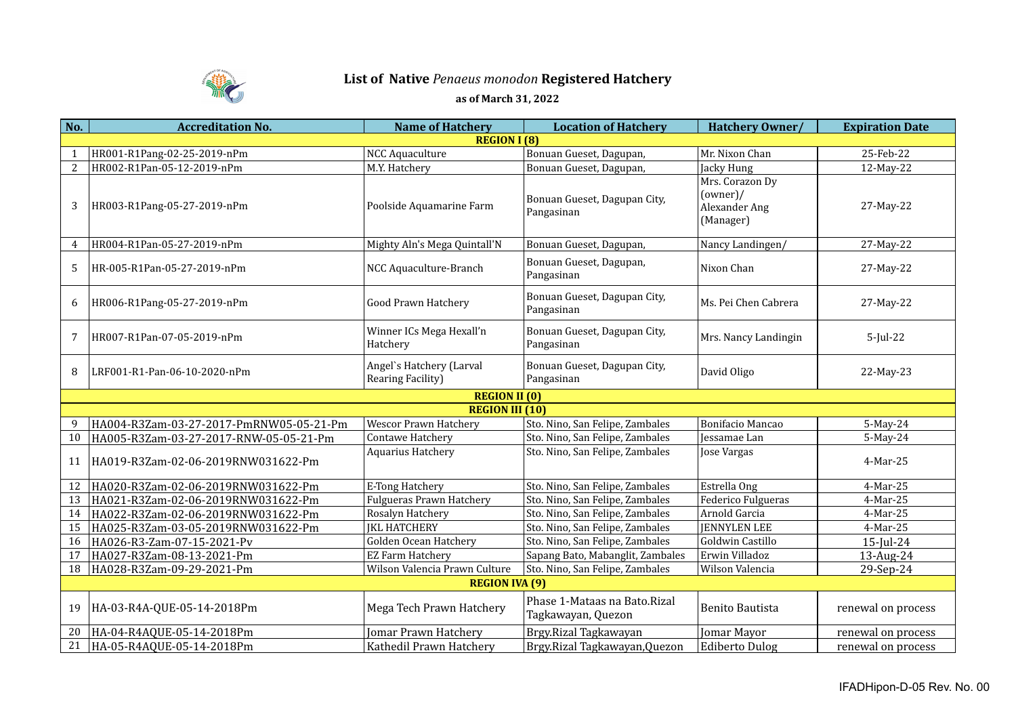

## **List of Native** *Penaeus monodon* **Registered Hatchery**

## **as of March 31, 2022**

| No.            | <b>Accreditation No.</b>                | <b>Name of Hatchery</b>                       | <b>Location of Hatchery</b>                        | Hatchery Owner/                                           | <b>Expiration Date</b> |  |  |  |
|----------------|-----------------------------------------|-----------------------------------------------|----------------------------------------------------|-----------------------------------------------------------|------------------------|--|--|--|
|                | <b>REGION I (8)</b>                     |                                               |                                                    |                                                           |                        |  |  |  |
|                | HR001-R1Pang-02-25-2019-nPm             | <b>NCC Aquaculture</b>                        | Bonuan Gueset, Dagupan,                            | Mr. Nixon Chan                                            | 25-Feb-22              |  |  |  |
| 2              | HR002-R1Pan-05-12-2019-nPm              | M.Y. Hatchery                                 | Bonuan Gueset, Dagupan,                            | Jacky Hung                                                | 12-May-22              |  |  |  |
| 3              | HR003-R1Pang-05-27-2019-nPm             | Poolside Aquamarine Farm                      | Bonuan Gueset, Dagupan City,<br>Pangasinan         | Mrs. Corazon Dy<br>(owner)/<br>Alexander Ang<br>(Manager) | 27-May-22              |  |  |  |
| $\overline{4}$ | HR004-R1Pan-05-27-2019-nPm              | Mighty Aln's Mega Quintall'N                  | Bonuan Gueset, Dagupan,                            | Nancy Landingen/                                          | 27-May-22              |  |  |  |
| 5              | HR-005-R1Pan-05-27-2019-nPm             | NCC Aquaculture-Branch                        | Bonuan Gueset, Dagupan,<br>Pangasinan              | Nixon Chan                                                | 27-May-22              |  |  |  |
| 6              | HR006-R1Pang-05-27-2019-nPm             | <b>Good Prawn Hatchery</b>                    | Bonuan Gueset, Dagupan City,<br>Pangasinan         | Ms. Pei Chen Cabrera                                      | 27-May-22              |  |  |  |
| 7              | HR007-R1Pan-07-05-2019-nPm              | Winner ICs Mega Hexall'n<br>Hatchery          | Bonuan Gueset, Dagupan City,<br>Pangasinan         | Mrs. Nancy Landingin                                      | $5$ -Jul-22            |  |  |  |
| 8              | LRF001-R1-Pan-06-10-2020-nPm            | Angel's Hatchery (Larval<br>Rearing Facility) | Bonuan Gueset, Dagupan City,<br>Pangasinan         | David Oligo                                               | 22-May-23              |  |  |  |
|                |                                         | <b>REGION II (0)</b>                          |                                                    |                                                           |                        |  |  |  |
|                |                                         | <b>REGION III (10)</b>                        |                                                    |                                                           |                        |  |  |  |
| 9              | HA004-R3Zam-03-27-2017-PmRNW05-05-21-Pm | <b>Wescor Prawn Hatchery</b>                  | Sto. Nino, San Felipe, Zambales                    | Bonifacio Mancao                                          | 5-May-24               |  |  |  |
| 10             | HA005-R3Zam-03-27-2017-RNW-05-05-21-Pm  | Contawe Hatchery                              | Sto. Nino, San Felipe, Zambales                    | Jessamae Lan                                              | 5-May-24               |  |  |  |
| 11             | HA019-R3Zam-02-06-2019RNW031622-Pm      | Aquarius Hatchery                             | Sto. Nino, San Felipe, Zambales                    | Jose Vargas                                               | 4-Mar-25               |  |  |  |
| 12             | HA020-R3Zam-02-06-2019RNW031622-Pm      | E-Tong Hatchery                               | Sto. Nino, San Felipe, Zambales                    | Estrella Ong                                              | 4-Mar-25               |  |  |  |
| 13             | HA021-R3Zam-02-06-2019RNW031622-Pm      | <b>Fulgueras Prawn Hatchery</b>               | Sto. Nino, San Felipe, Zambales                    | Federico Fulgueras                                        | 4-Mar-25               |  |  |  |
| 14             | HA022-R3Zam-02-06-2019RNW031622-Pm      | Rosalyn Hatchery                              | Sto. Nino, San Felipe, Zambales                    | Arnold Garcia                                             | 4-Mar-25               |  |  |  |
| 15             | HA025-R3Zam-03-05-2019RNW031622-Pm      | <b>JKL HATCHERY</b>                           | Sto. Nino, San Felipe, Zambales                    | <b>JENNYLEN LEE</b>                                       | 4-Mar-25               |  |  |  |
| 16             | HA026-R3-Zam-07-15-2021-Pv              | Golden Ocean Hatchery                         | Sto. Nino, San Felipe, Zambales                    | Goldwin Castillo                                          | $15$ -Jul-24           |  |  |  |
| 17             | HA027-R3Zam-08-13-2021-Pm               | <b>EZ Farm Hatchery</b>                       | Sapang Bato, Mabanglit, Zambales                   | Erwin Villadoz                                            | 13-Aug-24              |  |  |  |
| 18             | HA028-R3Zam-09-29-2021-Pm               | Wilson Valencia Prawn Culture                 | Sto. Nino, San Felipe, Zambales                    | Wilson Valencia                                           | 29-Sep-24              |  |  |  |
|                |                                         | <b>REGION IVA (9)</b>                         |                                                    |                                                           |                        |  |  |  |
| 19             | HA-03-R4A-QUE-05-14-2018Pm              | Mega Tech Prawn Hatchery                      | Phase 1-Mataas na Bato.Rizal<br>Tagkawayan, Quezon | <b>Benito Bautista</b>                                    | renewal on process     |  |  |  |
| 20             | HA-04-R4AQUE-05-14-2018Pm               | Jomar Prawn Hatchery                          | Brgy.Rizal Tagkawayan                              | Jomar Mayor                                               | renewal on process     |  |  |  |
| 21             | HA-05-R4AQUE-05-14-2018Pm               | Kathedil Prawn Hatchery                       | Brgy.Rizal Tagkawayan, Quezon                      | Ediberto Dulog                                            | renewal on process     |  |  |  |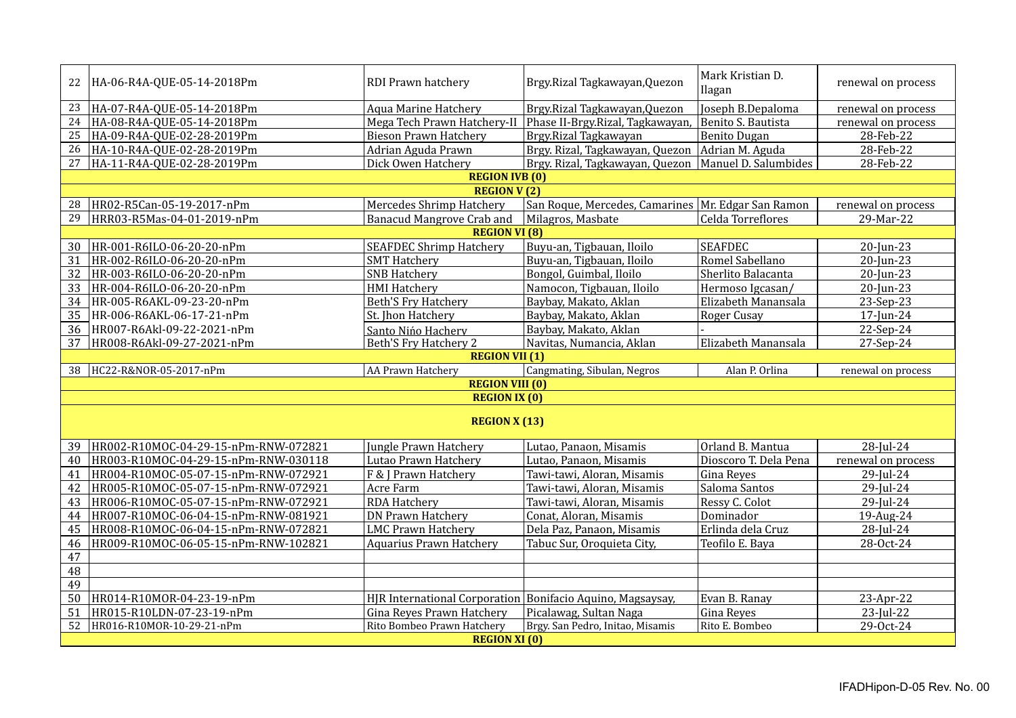| 22                    | HA-06-R4A-QUE-05-14-2018Pm           | RDI Prawn hatchery                                         | Brgy.Rizal Tagkawayan, Quezon                          | Mark Kristian D.<br>Ilagan | renewal on process |  |  |  |
|-----------------------|--------------------------------------|------------------------------------------------------------|--------------------------------------------------------|----------------------------|--------------------|--|--|--|
| 23                    | HA-07-R4A-QUE-05-14-2018Pm           | <b>Aqua Marine Hatchery</b>                                | Brgy.Rizal Tagkawayan, Quezon                          | Joseph B.Depaloma          | renewal on process |  |  |  |
| 24                    | HA-08-R4A-QUE-05-14-2018Pm           | Mega Tech Prawn Hatchery-II                                | Phase II-Brgy.Rizal, Tagkawayan,                       | Benito S. Bautista         | renewal on process |  |  |  |
| 25                    | HA-09-R4A-QUE-02-28-2019Pm           | <b>Bieson Prawn Hatchery</b>                               | Brgy.Rizal Tagkawayan                                  | <b>Benito Dugan</b>        | 28-Feb-22          |  |  |  |
| 26                    | HA-10-R4A-QUE-02-28-2019Pm           | Adrian Aguda Prawn                                         | Brgy. Rizal, Tagkawayan, Quezon   Adrian M. Aguda      |                            | 28-Feb-22          |  |  |  |
| 27                    | HA-11-R4A-QUE-02-28-2019Pm           | Dick Owen Hatchery                                         | Brgy. Rizal, Tagkawayan, Quezon   Manuel D. Salumbides |                            | 28-Feb-22          |  |  |  |
| <b>REGION IVB (0)</b> |                                      |                                                            |                                                        |                            |                    |  |  |  |
| <b>REGION V(2)</b>    |                                      |                                                            |                                                        |                            |                    |  |  |  |
| 28                    | HR02-R5Can-05-19-2017-nPm            | <b>Mercedes Shrimp Hatchery</b>                            | San Roque, Mercedes, Camarines   Mr. Edgar San Ramon   |                            | renewal on process |  |  |  |
| 29                    | HRR03-R5Mas-04-01-2019-nPm           | Banacud Mangrove Crab and                                  | Milagros, Masbate                                      | Celda Torreflores          | 29-Mar-22          |  |  |  |
|                       |                                      | <b>REGION VI (8)</b>                                       |                                                        |                            |                    |  |  |  |
| 30                    | HR-001-R6ILO-06-20-20-nPm            | <b>SEAFDEC Shrimp Hatchery</b>                             | Buyu-an, Tigbauan, Iloilo                              | <b>SEAFDEC</b>             | 20-Jun-23          |  |  |  |
| 31                    | HR-002-R6ILO-06-20-20-nPm            | <b>SMT Hatchery</b>                                        | Buyu-an, Tigbauan, Iloilo                              | Romel Sabellano            | $20$ -Jun-23       |  |  |  |
| 32                    | HR-003-R6ILO-06-20-20-nPm            | <b>SNB Hatchery</b>                                        | Bongol, Guimbal, Iloilo                                | Sherlito Balacanta         | 20-Jun-23          |  |  |  |
| 33                    | HR-004-R6ILO-06-20-20-nPm            | <b>HMI Hatchery</b>                                        | Namocon, Tigbauan, Iloilo                              | Hermoso Igcasan/           | 20-Jun-23          |  |  |  |
| 34                    | HR-005-R6AKL-09-23-20-nPm            | <b>Beth'S Fry Hatchery</b>                                 | Baybay, Makato, Aklan                                  | Elizabeth Manansala        | 23-Sep-23          |  |  |  |
| 35                    | HR-006-R6AKL-06-17-21-nPm            | St. Jhon Hatchery                                          | Baybay, Makato, Aklan                                  | Roger Cusay                | 17-Jun-24          |  |  |  |
| 36                    | HR007-R6Akl-09-22-2021-nPm           | Santo Nińo Hachery                                         | Baybay, Makato, Aklan                                  |                            | 22-Sep-24          |  |  |  |
| 37                    | HR008-R6Akl-09-27-2021-nPm           | Beth'S Fry Hatchery 2                                      | Navitas, Numancia, Aklan                               | Elizabeth Manansala        | 27-Sep-24          |  |  |  |
| <b>REGION VII (1)</b> |                                      |                                                            |                                                        |                            |                    |  |  |  |
| 38                    | HC22-R&NOR-05-2017-nPm               | AA Prawn Hatchery                                          | Cangmating, Sibulan, Negros                            | Alan P. Orlina             | renewal on process |  |  |  |
|                       |                                      | <b>REGION VIII (0)</b>                                     |                                                        |                            |                    |  |  |  |
| <b>REGION IX (0)</b>  |                                      |                                                            |                                                        |                            |                    |  |  |  |
| <b>REGION X (13)</b>  |                                      |                                                            |                                                        |                            |                    |  |  |  |
| 39                    | HR002-R10MOC-04-29-15-nPm-RNW-072821 | Jungle Prawn Hatchery                                      | Lutao, Panaon, Misamis                                 | Orland B. Mantua           | 28-Jul-24          |  |  |  |
| 40                    | HR003-R10MOC-04-29-15-nPm-RNW-030118 | Lutao Prawn Hatchery                                       | Lutao, Panaon, Misamis                                 | Dioscoro T. Dela Pena      | renewal on process |  |  |  |
| 41                    | HR004-R10MOC-05-07-15-nPm-RNW-072921 | F & J Prawn Hatchery                                       | Tawi-tawi, Aloran, Misamis                             | Gina Reyes                 | 29-Jul-24          |  |  |  |
| 42                    | HR005-R10MOC-05-07-15-nPm-RNW-072921 | Acre Farm                                                  | Tawi-tawi, Aloran, Misamis                             | Saloma Santos              | 29-Jul-24          |  |  |  |
| 43                    | HR006-R10MOC-05-07-15-nPm-RNW-072921 | <b>RDA Hatchery</b>                                        | Tawi-tawi, Aloran, Misamis                             | Ressy C. Colot             | 29-Jul-24          |  |  |  |
| 44                    | HR007-R10MOC-06-04-15-nPm-RNW-081921 | <b>DN Prawn Hatchery</b>                                   | Conat, Aloran, Misamis                                 | Dominador                  | 19-Aug-24          |  |  |  |
| 45                    | HR008-R10MOC-06-04-15-nPm-RNW-072821 | <b>LMC Prawn Hatchery</b>                                  | Dela Paz, Panaon, Misamis                              | Erlinda dela Cruz          | 28-Jul-24          |  |  |  |
| 46                    | HR009-R10MOC-06-05-15-nPm-RNW-102821 | <b>Aquarius Prawn Hatchery</b>                             | Tabuc Sur, Oroquieta City,                             | Teofilo E. Baya            | 28-Oct-24          |  |  |  |
| 47                    |                                      |                                                            |                                                        |                            |                    |  |  |  |
| 48                    |                                      |                                                            |                                                        |                            |                    |  |  |  |
| 49                    |                                      |                                                            |                                                        |                            |                    |  |  |  |
| 50                    | HR014-R10MOR-04-23-19-nPm            | HJR International Corporation Bonifacio Aquino, Magsaysay, |                                                        | Evan B. Ranay              | 23-Apr-22          |  |  |  |
| 51                    | HR015-R10LDN-07-23-19-nPm            | Gina Reyes Prawn Hatchery                                  | Picalawag, Sultan Naga                                 | <b>Gina Reyes</b>          | 23-Jul-22          |  |  |  |
| 52                    | HR016-R10MOR-10-29-21-nPm            | Rito Bombeo Prawn Hatchery                                 | Brgy. San Pedro, Initao, Misamis                       | Rito E. Bombeo             | 29-Oct-24          |  |  |  |
|                       | <b>REGION XI (0)</b>                 |                                                            |                                                        |                            |                    |  |  |  |